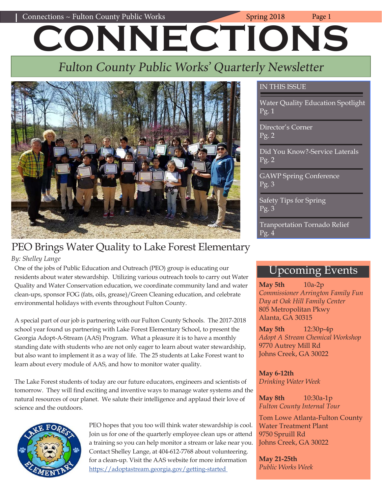# Connections ~ Fulton County Public Works Spring 2018 Page 1 **CONNECTIONS**

# Fulton County Public Works' Quarterly Newsletter



# PEO Brings Water Quality to Lake Forest Elementary

*By: Shelley Lange*

One of the jobs of Public Education and Outreach (PEO) group is educating our residents about water stewardship. Utilizing various outreach tools to carry out Water Quality and Water Conservation education, we coordinate community land and water clean-ups, sponsor FOG (fats, oils, grease)/Green Cleaning education, and celebrate environmental holidays with events throughout Fulton County.

A special part of our job is partnering with our Fulton County Schools. The 2017-2018 school year found us partnering with Lake Forest Elementary School, to present the Georgia Adopt-A-Stream (AAS) Program. What a pleasure it is to have a monthly standing date with students who are not only eager to learn about water stewardship, but also want to implement it as a way of life. The 25 students at Lake Forest want to learn about every module of AAS, and how to monitor water quality.

The Lake Forest students of today are our future educators, engineers and scientists of tomorrow. They will find exciting and inventive ways to manage water systems and the natural resources of our planet. We salute their intelligence and applaud their love of science and the outdoors.



PEO hopes that you too will think water stewardship is cool. Join us for one of the quarterly employee clean ups or attend a training so you can help monitor a stream or lake near you. Contact Shelley Lange, at 404-612-7768 about volunteering. for a clean-up. Visit the AAS website for more information [https://adoptastream.georgia.gov/getting-started](https://adoptastream.georgia.gov/getting-started ) 

#### IN THIS ISSUE

Water Quality Education Spotlight Pg. 1

Director's Corner Pg. 2

Did You Know?-Service Laterals Pg. 2

GAWP Spring Conference Pg. 3

Safety Tips for Spring Pg. 3

Tranportation Tornado Relief Pg. 4

### Upcoming Events

**May 5th** 10a-2p *Commissioner Arrington Family Fun Day at Oak Hill Family Center* 805 Metropolitan Pkwy Alanta, GA 30315

**May 5th** 12:30p-4p *Adopt A Stream Chemical Workshop* 9770 Autrey Mill Rd Johns Creek, GA 30022

**May 6-12th**  *Drinking Water Week*

**May 8th** 10:30a-1p *Fulton County Internal Tour*

Tom Lowe Atlanta-Fulton County Water Treatment Plant 9750 Spruill Rd Johns Creek, GA 30022

**May 21-25th**  *Public Works Week*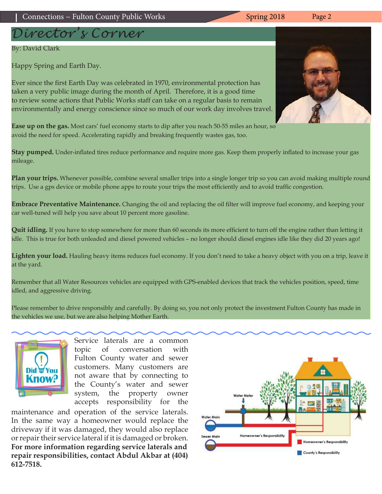# *Director's Corner*

#### By: David Clark

Happy Spring and Earth Day.

Ever since the first Earth Day was celebrated in 1970, environmental protection has taken a very public image during the month of April. Therefore, it is a good time to review some actions that Public Works staff can take on a regular basis to remain environmentally and energy conscience since so much of our work day involves travel.

**Ease up on the gas.** Most cars' fuel economy starts to dip after you reach 50-55 miles an hour, so avoid the need for speed. Accelerating rapidly and breaking frequently wastes gas, too.

**Stay pumped.** Under-inflated tires reduce performance and require more gas. Keep them properly inflated to increase your gas mileage.

**Plan your trips.** Whenever possible, combine several smaller trips into a single longer trip so you can avoid making multiple round trips. Use a gps device or mobile phone apps to route your trips the most efficiently and to avoid traffic congestion.

**Embrace Preventative Maintenance.** Changing the oil and replacing the oil filter will improve fuel economy, and keeping your car well-tuned will help you save about 10 percent more gasoline.

**Quit idling.** If you have to stop somewhere for more than 60 seconds its more efficient to turn off the engine rather than letting it idle. This is true for both unleaded and diesel powered vehicles – no longer should diesel engines idle like they did 20 years ago!

**Lighten your load.** Hauling heavy items reduces fuel economy. If you don't need to take a heavy object with you on a trip, leave it at the yard.

Remember that all Water Resources vehicles are equipped with GPS-enabled devices that track the vehicles position, speed, time idled, and aggressive driving.

Please remember to drive responsibly and carefully. By doing so, you not only protect the investment Fulton County has made in the vehicles we use, but we are also helping Mother Earth.

> Service laterals are a common topic of conversation with Fulton County water and sewer customers. Many customers are not aware that by connecting to the County's water and sewer system, the property owner accepts responsibility for the

maintenance and operation of the service laterals. In the same way a homeowner would replace the driveway if it was damaged, they would also replace or repair their service lateral if it is damaged or broken. **For more information regarding service laterals and repair responsibilities, contact Abdul Akbar at (404) 612-7518.**



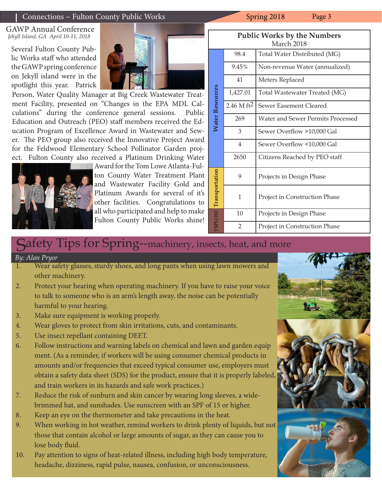#### Connections ~ Fulton County Public Works Spring 2018 Page 3

GAWP Annual Conference *Jekyll Island, GA April 10-11, 2018*

Several Fulton County Public Works staff who attended the GAWP spring conference on Jekyll island were in the spotlight this year. Patrick



Person, Water Quality Manager at Big Creek Wastewater Treatment Facility, presented on "Changes in the EPA MDL Calculations" during the conference general sessions. Public Education and Outreach (PEO) staff members received the Education Program of Excellence Award in Wastewater and Sewer. The PEO group also received the Innovative Project Award for the Feldwood Elementary School Pollinator Garden project. Fulton County also received a Platinum Drinking Water



Award for the Tom Lowe Atlanta-Fulton County Water Treatment Plant and Wastewater Facility Gold and Platinum Awards for several of it's other facilities. Congratulations to all who participated and help to make Fulton County Public Works shine!

| <b>Public Works by the Numbers</b> |                        |                                   |  |  |
|------------------------------------|------------------------|-----------------------------------|--|--|
| March 2018                         |                        |                                   |  |  |
| Water Resources                    | 98.4                   | Total Water Distributed (MG)      |  |  |
|                                    | 9.45%                  | Non-revenue Water (annualized)    |  |  |
|                                    | 41                     | Meters Replaced                   |  |  |
|                                    | 1,427.01               | Total Wastewater Treated (MG)     |  |  |
|                                    | 2.46 M ft <sup>2</sup> | Sewer Easement Cleared            |  |  |
|                                    | 269                    | Water and Sewer Permits Processed |  |  |
|                                    | 3                      | Sewer Overflow >10,000 Gal        |  |  |
|                                    | 4                      | Sewer Overflow <10,000 Gal        |  |  |
|                                    | 2650                   | Citizens Reached by PEO staff     |  |  |
| <b>TSPLOST</b> Transportation      | 9                      | Projects in Design Phase          |  |  |
|                                    | 1                      | Project in Construction Phase     |  |  |
|                                    | 10                     | Projects in Design Phase          |  |  |
|                                    | $\overline{2}$         | Project in Construction Phase     |  |  |

### Safety Tips for Spring--machinery, insects, heat, and more

*By: Alan Pryor*

- 1. Wear safety glasses, sturdy shoes, and long pants when using lawn mowers and other machinery.
- 2. Protect your hearing when operating machinery. If you have to raise your voice to talk to someone who is an arm's length away, the noise can be potentially harmful to your hearing.
- 3. Make sure equipment is working properly.
- 4. Wear gloves to protect from skin irritations, cuts, and contaminants.
- 5. Use insect repellant containing DEET.
- 6. Follow instructions and warning labels on chemical and lawn and garden equip ment. (As a reminder, if workers will be using consumer chemical products in amounts and/or frequencies that exceed typical consumer use, employers must obtain a safety data sheet (SDS) for the product, ensure that it is properly labeled, and train workers in its hazards and safe work practices.)
- 7. Reduce the risk of sunburn and skin cancer by wearing long sleeves, a widebrimmed hat, and sunshades. Use sunscreen with an SPF of 15 or higher.
- 8. Keep an eye on the thermometer and take precautions in the heat.
- 9. When working in hot weather, remind workers to drink plenty of liquids, but not those that contain alcohol or large amounts of sugar, as they can cause you to lose body fluid.
- 10. Pay attention to signs of heat-related illness, including high body temperature, headache, dizziness, rapid pulse, nausea, confusion, or unconsciousness.